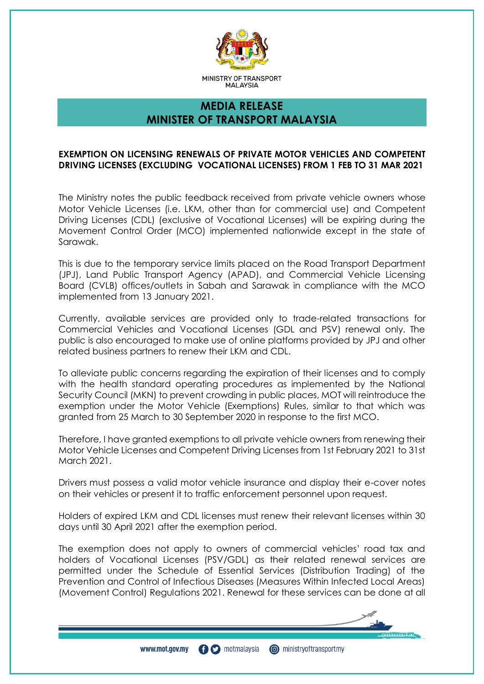

# **MEDIA RELEASE MINISTER OF TRANSPORT MALAYSIA**

## **EXEMPTION ON LICENSING RENEWALS OF PRIVATE MOTOR VEHICLES AND COMPETENT DRIVING LICENSES (EXCLUDING VOCATIONAL LICENSES) FROM 1 FEB TO 31 MAR 2021**

The Ministry notes the public feedback received from private vehicle owners whose Motor Vehicle Licenses (i.e. LKM, other than for commercial use) and Competent Driving Licenses (CDL) (exclusive of Vocational Licenses) will be expiring during the Movement Control Order (MCO) implemented nationwide except in the state of Sarawak.

This is due to the temporary service limits placed on the Road Transport Department (JPJ), Land Public Transport Agency (APAD), and Commercial Vehicle Licensing Board (CVLB) offices/outlets in Sabah and Sarawak in compliance with the MCO implemented from 13 January 2021.

Currently, available services are provided only to trade-related transactions for Commercial Vehicles and Vocational Licenses (GDL and PSV) renewal only. The public is also encouraged to make use of online platforms provided by JPJ and other related business partners to renew their LKM and CDL.

To alleviate public concerns regarding the expiration of their licenses and to comply with the health standard operating procedures as implemented by the National Security Council (MKN) to prevent crowding in public places, MOT will reintroduce the exemption under the Motor Vehicle (Exemptions) Rules, similar to that which was granted from 25 March to 30 September 2020 in response to the first MCO.

Therefore, I have granted exemptions to all private vehicle owners from renewing their Motor Vehicle Licenses and Competent Driving Licenses from 1st February 2021 to 31st March 2021.

Drivers must possess a valid motor vehicle insurance and display their e-cover notes on their vehicles or present it to traffic enforcement personnel upon request.

Holders of expired LKM and CDL licenses must renew their relevant licenses within 30 days until 30 April 2021 after the exemption period.

The exemption does not apply to owners of commercial vehicles' road tax and holders of Vocational Licenses (PSV/GDL) as their related renewal services are permitted under the Schedule of Essential Services (Distribution Trading) of the Prevention and Control of Infectious Diseases (Measures Within Infected Local Areas) (Movement Control) Regulations 2021. Renewal for these services can be done at all